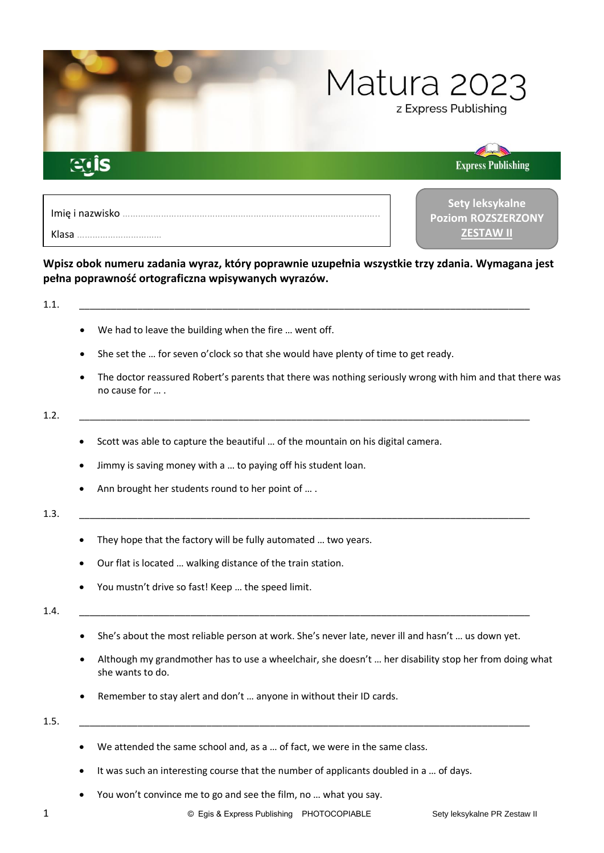

# **Wpisz obok numeru zadania wyraz, który poprawnie uzupełnia wszystkie trzy zdania. Wymagana jest pełna poprawność ortograficzna wpisywanych wyrazów.**

# 1.1. \_\_\_\_\_\_\_\_\_\_\_\_\_\_\_\_\_\_\_\_\_\_\_\_\_\_\_\_\_\_\_\_\_\_\_\_\_\_\_\_\_\_\_\_\_\_\_\_\_\_\_\_\_\_\_\_\_\_\_\_\_\_\_\_\_\_\_\_\_\_\_\_\_\_\_\_\_\_\_\_\_\_\_\_\_

- We had to leave the building when the fire … went off.
- She set the ... for seven o'clock so that she would have plenty of time to get ready.
- The doctor reassured Robert's parents that there was nothing seriously wrong with him and that there was no cause for … .

## 1.2. \_\_\_\_\_\_\_\_\_\_\_\_\_\_\_\_\_\_\_\_\_\_\_\_\_\_\_\_\_\_\_\_\_\_\_\_\_\_\_\_\_\_\_\_\_\_\_\_\_\_\_\_\_\_\_\_\_\_\_\_\_\_\_\_\_\_\_\_\_\_\_\_\_\_\_\_\_\_\_\_\_\_\_\_\_

- Scott was able to capture the beautiful … of the mountain on his digital camera.
- Jimmy is saving money with a … to paying off his student loan.
- Ann brought her students round to her point of … .

# 1.3. \_\_\_\_\_\_\_\_\_\_\_\_\_\_\_\_\_\_\_\_\_\_\_\_\_\_\_\_\_\_\_\_\_\_\_\_\_\_\_\_\_\_\_\_\_\_\_\_\_\_\_\_\_\_\_\_\_\_\_\_\_\_\_\_\_\_\_\_\_\_\_\_\_\_\_\_\_\_\_\_\_\_\_\_\_

- They hope that the factory will be fully automated ... two years.
- Our flat is located … walking distance of the train station.
- You mustn't drive so fast! Keep … the speed limit.

## 1.4. \_\_\_\_\_\_\_\_\_\_\_\_\_\_\_\_\_\_\_\_\_\_\_\_\_\_\_\_\_\_\_\_\_\_\_\_\_\_\_\_\_\_\_\_\_\_\_\_\_\_\_\_\_\_\_\_\_\_\_\_\_\_\_\_\_\_\_\_\_\_\_\_\_\_\_\_\_\_\_\_\_\_\_\_\_

- She's about the most reliable person at work. She's never late, never ill and hasn't … us down yet.
- Although my grandmother has to use a wheelchair, she doesn't … her disability stop her from doing what she wants to do.
- Remember to stay alert and don't ... anyone in without their ID cards.

## 1.5. \_\_\_\_\_\_\_\_\_\_\_\_\_\_\_\_\_\_\_\_\_\_\_\_\_\_\_\_\_\_\_\_\_\_\_\_\_\_\_\_\_\_\_\_\_\_\_\_\_\_\_\_\_\_\_\_\_\_\_\_\_\_\_\_\_\_\_\_\_\_\_\_\_\_\_\_\_\_\_\_\_\_\_\_\_

- We attended the same school and, as a … of fact, we were in the same class.
- It was such an interesting course that the number of applicants doubled in a ... of days.
- You won't convince me to go and see the film, no … what you say.